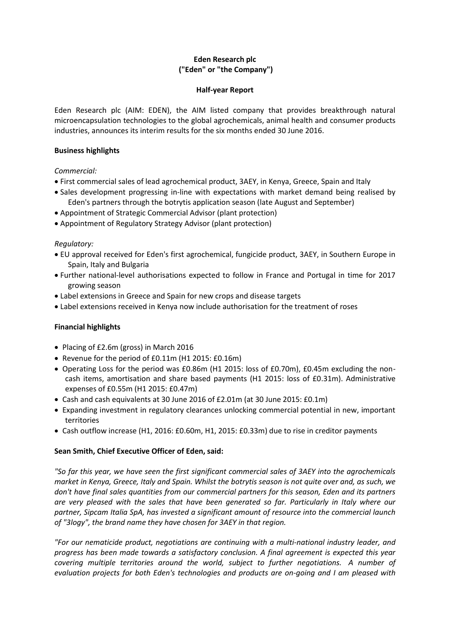# **Eden Research plc ("Eden" or "the Company")**

### **Half-year Report**

Eden Research plc (AIM: EDEN), the AIM listed company that provides breakthrough natural microencapsulation technologies to the global agrochemicals, animal health and consumer products industries, announces its interim results for the six months ended 30 June 2016.

### **Business highlights**

*Commercial:*

- First commercial sales of lead agrochemical product, 3AEY, in Kenya, Greece, Spain and Italy
- Sales development progressing in-line with expectations with market demand being realised by Eden's partners through the botrytis application season (late August and September)
- Appointment of Strategic Commercial Advisor (plant protection)
- Appointment of Regulatory Strategy Advisor (plant protection)

### *Regulatory:*

- EU approval received for Eden's first agrochemical, fungicide product, 3AEY, in Southern Europe in Spain, Italy and Bulgaria
- Further national-level authorisations expected to follow in France and Portugal in time for 2017 growing season
- Label extensions in Greece and Spain for new crops and disease targets
- Label extensions received in Kenya now include authorisation for the treatment of roses

# **Financial highlights**

- Placing of £2.6m (gross) in March 2016
- Revenue for the period of £0.11m (H1 2015: £0.16m)
- Operating Loss for the period was £0.86m (H1 2015: loss of £0.70m), £0.45m excluding the noncash items, amortisation and share based payments (H1 2015: loss of £0.31m). Administrative expenses of £0.55m (H1 2015: £0.47m)
- Cash and cash equivalents at 30 June 2016 of £2.01m (at 30 June 2015: £0.1m)
- Expanding investment in regulatory clearances unlocking commercial potential in new, important territories
- Cash outflow increase (H1, 2016: £0.60m, H1, 2015: £0.33m) due to rise in creditor payments

### **Sean Smith, Chief Executive Officer of Eden, said:**

*"So far this year, we have seen the first significant commercial sales of 3AEY into the agrochemicals market in Kenya, Greece, Italy and Spain. Whilst the botrytis season is not quite over and, as such, we don't have final sales quantities from our commercial partners for this season, Eden and its partners are very pleased with the sales that have been generated so far. Particularly in Italy where our partner, Sipcam Italia SpA, has invested a significant amount of resource into the commercial launch of "3logy", the brand name they have chosen for 3AEY in that region.* 

*"For our nematicide product, negotiations are continuing with a multi-national industry leader, and progress has been made towards a satisfactory conclusion. A final agreement is expected this year covering multiple territories around the world, subject to further negotiations. A number of evaluation projects for both Eden's technologies and products are on-going and I am pleased with*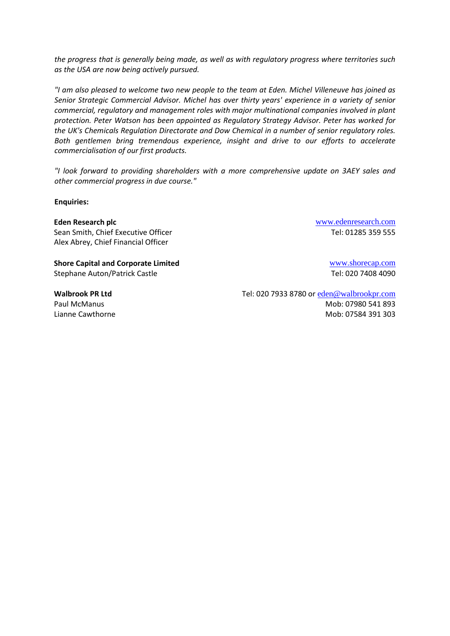*the progress that is generally being made, as well as with regulatory progress where territories such as the USA are now being actively pursued.* 

*"I am also pleased to welcome two new people to the team at Eden. Michel Villeneuve has joined as Senior Strategic Commercial Advisor. Michel has over thirty years' experience in a variety of senior commercial, regulatory and management roles with major multinational companies involved in plant protection. Peter Watson has been appointed as Regulatory Strategy Advisor. Peter has worked for the UK's Chemicals Regulation Directorate and Dow Chemical in a number of senior regulatory roles. Both gentlemen bring tremendous experience, insight and drive to our efforts to accelerate commercialisation of our first products.*

*"I look forward to providing shareholders with a more comprehensive update on 3AEY sales and other commercial progress in due course."*

**Enquiries:**

**Eden Research plc** [www.edenresearch.com](http://www.edenresearch.com/) Sean Smith, Chief Executive Officer Tel: 01285 359 555 Alex Abrey, Chief Financial Officer

**Shore Capital and Corporate Limited Example 2018** WWW.shorecap.com Stephane Auton/Patrick Castle Tel: 020 7408 4090

**Walbrook PR Ltd** Tel: 020 7933 8780 or [eden@walbrookpr.com](mailto:eden@walbrookpr.com) Paul McManus 2012 12:00 12:00 12:00 12:00 12:00 12:00 12:00 12:00 12:00 12:00 12:00 12:00 12:00 12:00 12:00 12:00 12:00 12:00 12:00 12:00 12:00 12:00 12:00 12:00 12:00 12:00 12:00 12:00 12:00 12:00 12:00 12:00 12:00 12:00 Lianne Cawthorne **Mobis 2018** 2019 12:00 Mob: 07584 391 303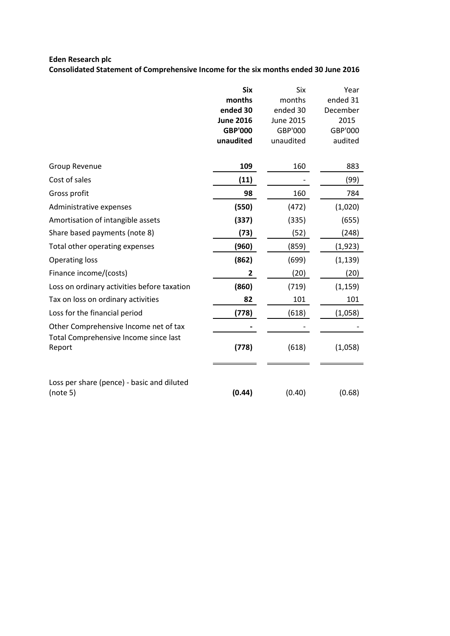# **Eden Research plc**

**Consolidated Statement of Comprehensive Income for the six months ended 30 June 2016**

|                                                        | <b>Six</b>       | Six              | Year     |
|--------------------------------------------------------|------------------|------------------|----------|
|                                                        | months           | months           | ended 31 |
|                                                        | ended 30         | ended 30         | December |
|                                                        | <b>June 2016</b> | <b>June 2015</b> | 2015     |
|                                                        | <b>GBP'000</b>   | GBP'000          | GBP'000  |
|                                                        | unaudited        | unaudited        | audited  |
| Group Revenue                                          | 109              | 160              | 883      |
| Cost of sales                                          | (11)             |                  | (99)     |
| Gross profit                                           | 98               | 160              | 784      |
| Administrative expenses                                | (550)            | (472)            | (1,020)  |
| Amortisation of intangible assets                      | (337)            | (335)            | (655)    |
| Share based payments (note 8)                          | (73)             | (52)             | (248)    |
| Total other operating expenses                         | (960)            | (859)            | (1, 923) |
| <b>Operating loss</b>                                  | (862)            | (699)            | (1, 139) |
| Finance income/(costs)                                 | 2                | (20)             | (20)     |
| Loss on ordinary activities before taxation            | (860)            | (719)            | (1, 159) |
| Tax on loss on ordinary activities                     | 82               | 101              | 101      |
| Loss for the financial period                          | (778)            | (618)            | (1,058)  |
| Other Comprehensive Income net of tax                  |                  |                  |          |
| Total Comprehensive Income since last<br>Report        | (778)            | (618)            | (1,058)  |
| Loss per share (pence) - basic and diluted<br>(note 5) | (0.44)           | (0.40)           | (0.68)   |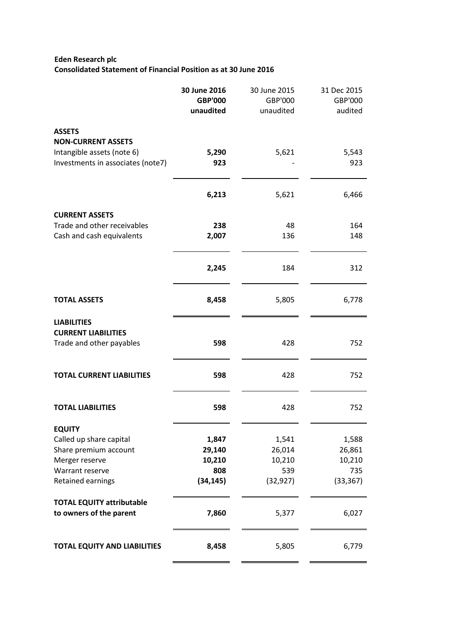# **Eden Research plc Consolidated Statement of Financial Position as at 30 June 2016**

|                                                             | 30 June 2016<br><b>GBP'000</b><br>unaudited | 30 June 2015<br>GBP'000<br>unaudited | 31 Dec 2015<br>GBP'000 |
|-------------------------------------------------------------|---------------------------------------------|--------------------------------------|------------------------|
|                                                             |                                             |                                      | audited                |
| <b>ASSETS</b>                                               |                                             |                                      |                        |
| <b>NON-CURRENT ASSETS</b>                                   |                                             |                                      |                        |
| Intangible assets (note 6)                                  | 5,290                                       | 5,621                                | 5,543                  |
| Investments in associates (note7)                           | 923                                         |                                      | 923                    |
|                                                             | 6,213                                       | 5,621                                | 6,466                  |
| <b>CURRENT ASSETS</b>                                       |                                             |                                      |                        |
| Trade and other receivables                                 | 238                                         | 48                                   | 164                    |
| Cash and cash equivalents                                   | 2,007                                       | 136                                  | 148                    |
|                                                             | 2,245                                       | 184                                  | 312                    |
| <b>TOTAL ASSETS</b>                                         | 8,458                                       | 5,805                                | 6,778                  |
| <b>LIABILITIES</b>                                          |                                             |                                      |                        |
| <b>CURRENT LIABILITIES</b>                                  |                                             |                                      |                        |
| Trade and other payables                                    | 598                                         | 428                                  | 752                    |
| <b>TOTAL CURRENT LIABILITIES</b>                            | 598                                         | 428                                  | 752                    |
| <b>TOTAL LIABILITIES</b>                                    | 598                                         | 428                                  | 752                    |
| <b>EQUITY</b>                                               |                                             |                                      |                        |
| Called up share capital                                     | 1,847                                       | 1,541                                | 1,588                  |
| Share premium account                                       | 29,140                                      | 26,014                               | 26,861                 |
| Merger reserve                                              | 10,210                                      | 10,210                               | 10,210                 |
| Warrant reserve                                             | 808                                         | 539                                  | 735                    |
| Retained earnings                                           | (34, 145)                                   | (32, 927)                            | (33, 367)              |
| <b>TOTAL EQUITY attributable</b><br>to owners of the parent | 7,860                                       | 5,377                                | 6,027                  |
| <b>TOTAL EQUITY AND LIABILITIES</b>                         | 8,458                                       | 5,805                                | 6,779                  |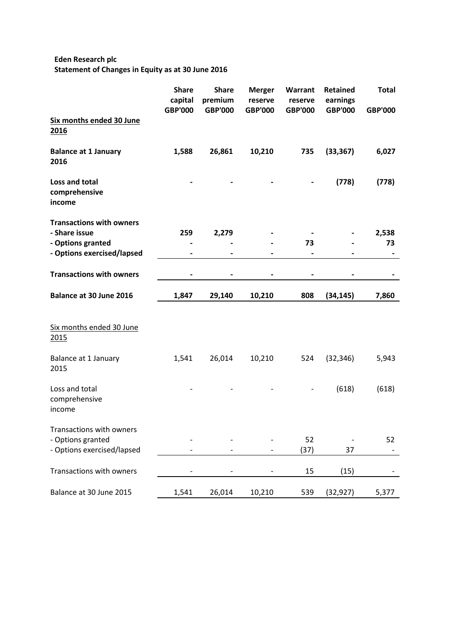# **Eden Research plc Statement of Changes in Equity as at 30 June 2016**

|                                                  | <b>Share</b><br>capital<br><b>GBP'000</b> | <b>Share</b><br>premium<br><b>GBP'000</b> | <b>Merger</b><br>reserve<br><b>GBP'000</b> | Warrant<br>reserve<br><b>GBP'000</b> | <b>Retained</b><br>earnings<br><b>GBP'000</b> | <b>Total</b><br><b>GBP'000</b> |
|--------------------------------------------------|-------------------------------------------|-------------------------------------------|--------------------------------------------|--------------------------------------|-----------------------------------------------|--------------------------------|
| Six months ended 30 June<br>2016                 |                                           |                                           |                                            |                                      |                                               |                                |
| <b>Balance at 1 January</b><br>2016              | 1,588                                     | 26,861                                    | 10,210                                     | 735                                  | (33, 367)                                     | 6,027                          |
| Loss and total<br>comprehensive<br>income        |                                           |                                           |                                            |                                      | (778)                                         | (778)                          |
| <b>Transactions with owners</b><br>- Share issue | 259                                       | 2,279                                     |                                            |                                      |                                               | 2,538                          |
| - Options granted<br>- Options exercised/lapsed  | -                                         |                                           |                                            | 73<br>$\qquad \qquad \blacksquare$   |                                               | 73<br>$\overline{\phantom{a}}$ |
|                                                  |                                           |                                           |                                            |                                      |                                               |                                |
| <b>Transactions with owners</b>                  |                                           |                                           |                                            |                                      |                                               |                                |
| Balance at 30 June 2016                          | 1,847                                     | 29,140                                    | 10,210                                     | 808                                  | (34, 145)                                     | 7,860                          |
|                                                  |                                           |                                           |                                            |                                      |                                               |                                |
| Six months ended 30 June<br><u>2015</u>          |                                           |                                           |                                            |                                      |                                               |                                |
| Balance at 1 January<br>2015                     | 1,541                                     | 26,014                                    | 10,210                                     | 524                                  | (32, 346)                                     | 5,943                          |
| Loss and total<br>comprehensive<br>income        |                                           |                                           |                                            |                                      | (618)                                         | (618)                          |
| Transactions with owners                         |                                           |                                           |                                            |                                      |                                               |                                |
| - Options granted<br>- Options exercised/lapsed  |                                           |                                           |                                            | 52<br>(37)                           | 37                                            | 52                             |
|                                                  |                                           |                                           |                                            |                                      |                                               |                                |
| Transactions with owners                         | $\qquad \qquad -$                         |                                           | $\overline{\phantom{a}}$                   | 15                                   | (15)                                          |                                |
| Balance at 30 June 2015                          | 1,541                                     | 26,014                                    | 10,210                                     | 539                                  | (32, 927)                                     | 5,377                          |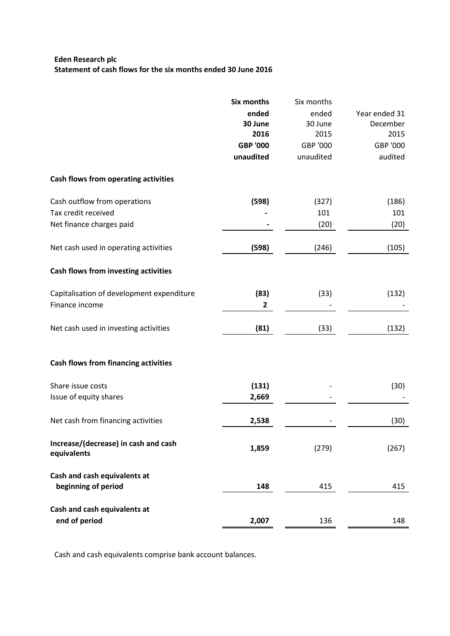# **Eden Research plc Statement of cash flows for the six months ended 30 June 2016**

|                                                     | <b>Six months</b> | Six months |               |
|-----------------------------------------------------|-------------------|------------|---------------|
|                                                     | ended             | ended      | Year ended 31 |
|                                                     | 30 June           | 30 June    | December      |
|                                                     | 2016              | 2015       | 2015          |
|                                                     | <b>GBP '000</b>   | GBP '000   | GBP '000      |
|                                                     | unaudited         | unaudited  | audited       |
| Cash flows from operating activities                |                   |            |               |
| Cash outflow from operations                        | (598)             | (327)      | (186)         |
| Tax credit received                                 |                   | 101        | 101           |
| Net finance charges paid                            |                   | (20)       | (20)          |
| Net cash used in operating activities               | (598)             | (246)      | (105)         |
| Cash flows from investing activities                |                   |            |               |
| Capitalisation of development expenditure           | (83)              | (33)       | (132)         |
| Finance income                                      | $\mathbf{2}$      |            |               |
| Net cash used in investing activities               | (81)              | (33)       | (132)         |
| <b>Cash flows from financing activities</b>         |                   |            |               |
| Share issue costs                                   | (131)             |            | (30)          |
| Issue of equity shares                              | 2,669             |            |               |
| Net cash from financing activities                  | 2,538             |            | (30)          |
| Increase/(decrease) in cash and cash<br>equivalents | 1,859             | (279)      | (267)         |
| Cash and cash equivalents at                        |                   |            |               |
| beginning of period                                 | 148               | 415        | 415           |
| Cash and cash equivalents at                        |                   |            |               |
| end of period                                       | 2,007             | 136        | 148           |

Cash and cash equivalents comprise bank account balances.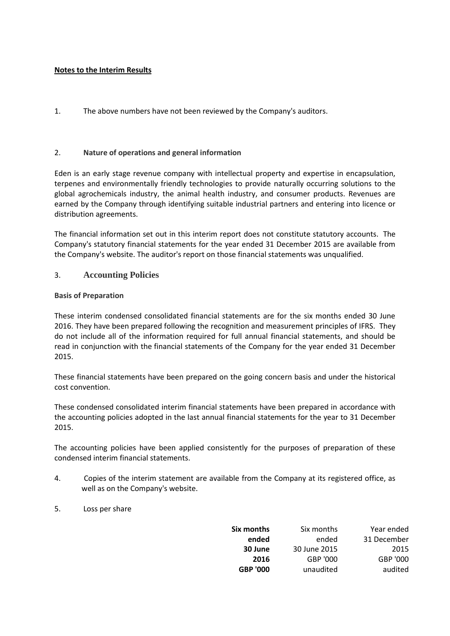## **Notes to the Interim Results**

1. The above numbers have not been reviewed by the Company's auditors.

## 2. **Nature of operations and general information**

Eden is an early stage revenue company with intellectual property and expertise in encapsulation, terpenes and environmentally friendly technologies to provide naturally occurring solutions to the global agrochemicals industry, the animal health industry, and consumer products. Revenues are earned by the Company through identifying suitable industrial partners and entering into licence or distribution agreements.

The financial information set out in this interim report does not constitute statutory accounts. The Company's statutory financial statements for the year ended 31 December 2015 are available from the Company's website. The auditor's report on those financial statements was unqualified.

### 3. **Accounting Policies**

### **Basis of Preparation**

These interim condensed consolidated financial statements are for the six months ended 30 June 2016. They have been prepared following the recognition and measurement principles of IFRS. They do not include all of the information required for full annual financial statements, and should be read in conjunction with the financial statements of the Company for the year ended 31 December 2015.

These financial statements have been prepared on the going concern basis and under the historical cost convention.

These condensed consolidated interim financial statements have been prepared in accordance with the accounting policies adopted in the last annual financial statements for the year to 31 December 2015.

The accounting policies have been applied consistently for the purposes of preparation of these condensed interim financial statements.

- 4. Copies of the interim statement are available from the Company at its registered office, as well as on the Company's website.
- 5. Loss per share

| Six months      | Six months   | Year ended  |
|-----------------|--------------|-------------|
| ended           | ended        | 31 December |
| 30 June         | 30 June 2015 | 2015        |
| 2016            | GBP '000     | GBP '000    |
| <b>GBP '000</b> | unaudited    | audited     |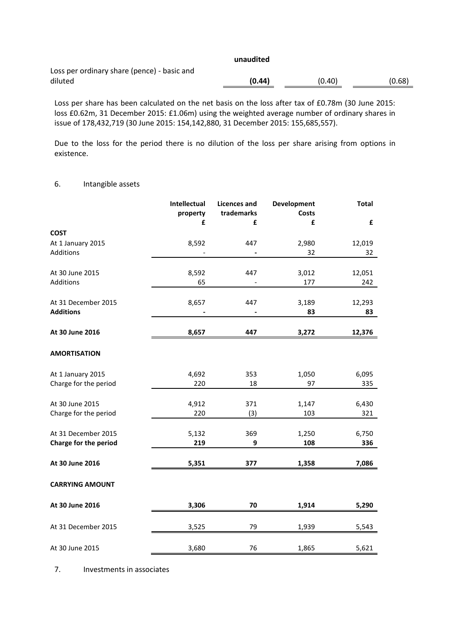|                                             | unaudited |        |        |
|---------------------------------------------|-----------|--------|--------|
| Loss per ordinary share (pence) - basic and |           |        |        |
| diluted                                     | (0.44)    | (0.40) | (0.68) |

Loss per share has been calculated on the net basis on the loss after tax of £0.78m (30 June 2015: loss £0.62m, 31 December 2015: £1.06m) using the weighted average number of ordinary shares in issue of 178,432,719 (30 June 2015: 154,142,880, 31 December 2015: 155,685,557).

Due to the loss for the period there is no dilution of the loss per share arising from options in existence.

#### 6. Intangible assets

|                        | Intellectual<br>property<br>£ | <b>Licences and</b><br>trademarks<br>£ | Development<br><b>Costs</b><br>£ | <b>Total</b><br>£ |
|------------------------|-------------------------------|----------------------------------------|----------------------------------|-------------------|
| <b>COST</b>            |                               |                                        |                                  |                   |
| At 1 January 2015      | 8,592                         | 447                                    | 2,980                            | 12,019            |
| Additions              |                               | $\qquad \qquad \blacksquare$           | 32                               | 32                |
| At 30 June 2015        | 8,592                         | 447                                    | 3,012                            | 12,051            |
| Additions              | 65                            |                                        | 177                              | 242               |
| At 31 December 2015    | 8,657                         | 447                                    | 3,189                            | 12,293            |
| <b>Additions</b>       |                               |                                        | 83                               | 83                |
| At 30 June 2016        | 8,657                         | 447                                    | 3,272                            | 12,376            |
| <b>AMORTISATION</b>    |                               |                                        |                                  |                   |
| At 1 January 2015      | 4,692                         | 353                                    | 1,050                            | 6,095             |
| Charge for the period  | 220                           | 18                                     | 97                               | 335               |
| At 30 June 2015        | 4,912                         | 371                                    | 1,147                            | 6,430             |
| Charge for the period  | 220                           | (3)                                    | 103                              | 321               |
| At 31 December 2015    | 5,132                         | 369                                    | 1,250                            | 6,750             |
| Charge for the period  | 219                           | 9                                      | 108                              | 336               |
| At 30 June 2016        | 5,351                         | 377                                    | 1,358                            | 7,086             |
| <b>CARRYING AMOUNT</b> |                               |                                        |                                  |                   |
| At 30 June 2016        | 3,306                         | 70                                     | 1,914                            | 5,290             |
| At 31 December 2015    | 3,525                         | 79                                     | 1,939                            | 5,543             |
| At 30 June 2015        | 3,680                         | 76                                     | 1,865                            | 5,621             |

7. Investments in associates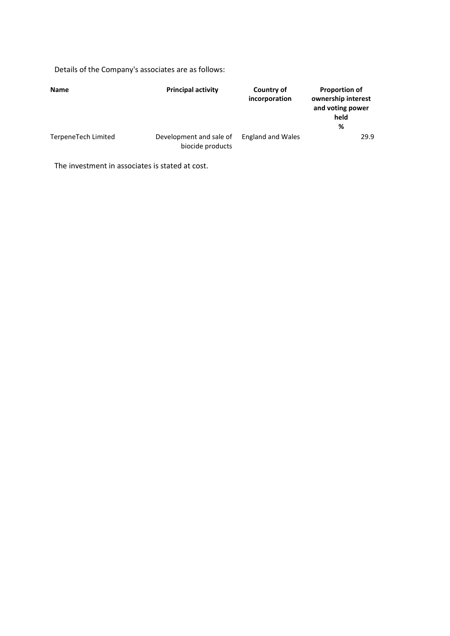Details of the Company's associates are as follows:

| <b>Name</b>         | <b>Principal activity</b>                   | Country of<br>incorporation | <b>Proportion of</b><br>ownership interest<br>and voting power<br>held<br>% |
|---------------------|---------------------------------------------|-----------------------------|-----------------------------------------------------------------------------|
| TerpeneTech Limited | Development and sale of<br>biocide products | <b>England and Wales</b>    | 29.9                                                                        |

The investment in associates is stated at cost.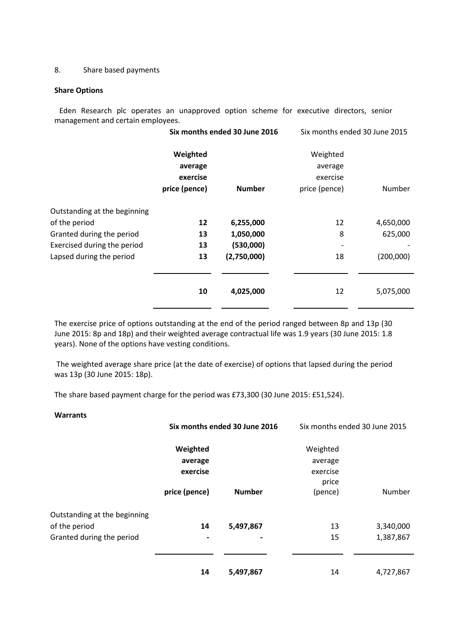### 8. Share based payments

#### **Share Options**

Eden Research plc operates an unapproved option scheme for executive directors, senior management and certain employees.

|                              | Six months ended 30 June 2016 |               | Six months ended 30 June 2015 |           |
|------------------------------|-------------------------------|---------------|-------------------------------|-----------|
|                              | Weighted                      |               | Weighted                      |           |
|                              | average                       |               | average                       |           |
|                              | exercise                      |               | exercise                      |           |
|                              | price (pence)                 | <b>Number</b> | price (pence)                 | Number    |
| Outstanding at the beginning |                               |               |                               |           |
| of the period                | 12                            | 6,255,000     | 12                            | 4,650,000 |
| Granted during the period    | 13                            | 1,050,000     | 8                             | 625,000   |
| Exercised during the period  | 13                            | (530,000)     |                               |           |
| Lapsed during the period     | 13                            | (2,750,000)   | 18                            | (200,000) |
|                              |                               |               |                               |           |
|                              | 10                            | 4,025,000     | 12                            | 5,075,000 |
|                              |                               |               |                               |           |

The exercise price of options outstanding at the end of the period ranged between 8p and 13p (30 June 2015: 8p and 18p) and their weighted average contractual life was 1.9 years (30 June 2015: 1.8 years). None of the options have vesting conditions.

The weighted average share price (at the date of exercise) of options that lapsed during the period was 13p (30 June 2015: 18p).

The share based payment charge for the period was £73,300 (30 June 2015: £51,524).

| <b>Warrants</b>              |               |                               |                               |           |
|------------------------------|---------------|-------------------------------|-------------------------------|-----------|
|                              |               | Six months ended 30 June 2016 | Six months ended 30 June 2015 |           |
|                              | Weighted      |                               | Weighted                      |           |
|                              | average       |                               | average                       |           |
|                              | exercise      |                               | exercise                      |           |
|                              |               |                               | price                         |           |
|                              | price (pence) | <b>Number</b>                 | (pence)                       | Number    |
| Outstanding at the beginning |               |                               |                               |           |
| of the period                | 14            | 5,497,867                     | 13                            | 3,340,000 |
| Granted during the period    |               |                               | 15                            | 1,387,867 |
|                              |               |                               |                               |           |
|                              | 14            | 5,497,867                     | 14                            | 4,727,867 |